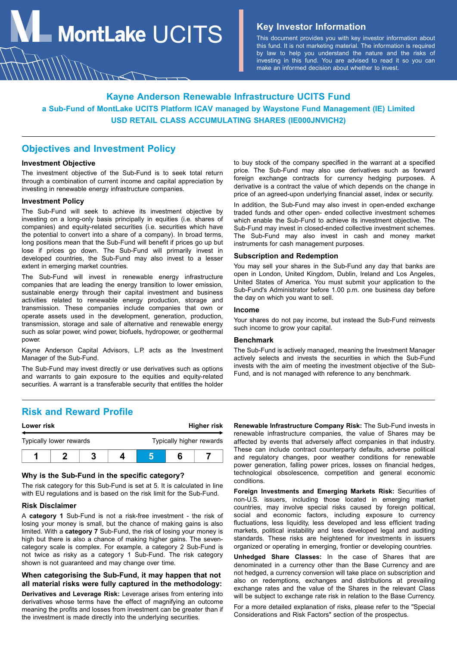**MontLake**  $UCITS$  **Key Investor Information** 

This document provides you with key investor information about this fund. It is not marketing material. The information is required by law to help you understand the nature and the risks of investing in this fund. You are advised to read it so you can make an informed decision about whether to invest.

# **Kayne Anderson Renewable Infrastructure UCITS Fund a Sub-Fund of MontLake UCITS Platform ICAV managed by Waystone Fund Management (IE) Limited USD RETAIL CLASS ACCUMULATING SHARES (IE000JNVICH2)**

## **Objectives and Investment Policy**

## **Investment Objective**

The investment objective of the Sub-Fund is to seek total return through a combination of current income and capital appreciation by investing in renewable energy infrastructure companies.

#### **Investment Policy**

The Sub-Fund will seek to achieve its investment objective by investing on a long-only basis principally in equities (i.e. shares of companies) and equity-related securities (i.e. securities which have the potential to convert into a share of a company). In broad terms, long positions mean that the Sub-Fund will benefit if prices go up but lose if prices go down. The Sub-Fund will primarily invest in developed countries, the Sub-Fund may also invest to a lesser extent in emerging market countries.

The Sub-Fund will invest in renewable energy infrastructure companies that are leading the energy transition to lower emission, sustainable energy through their capital investment and business activities related to renewable energy production, storage and transmission. These companies include companies that own or operate assets used in the development, generation, production, transmission, storage and sale of alternative and renewable energy such as solar power, wind power, biofuels, hydropower, or geothermal power.

Kayne Anderson Capital Advisors, L.P. acts as the Investment Manager of the Sub-Fund.

The Sub-Fund may invest directly or use derivatives such as options and warrants to gain exposure to the equities and equity-related securities. A warrant is a transferable security that entitles the holder

to buy stock of the company specified in the warrant at a specified price. The Sub-Fund may also use derivatives such as forward foreign exchange contracts for currency hedging purposes. A derivative is a contract the value of which depends on the change in price of an agreed-upon underlying financial asset, index or security.

In addition, the Sub-Fund may also invest in open-ended exchange traded funds and other open- ended collective investment schemes which enable the Sub-Fund to achieve its investment objective. The Sub-Fund may invest in closed-ended collective investment schemes. The Sub-Fund may also invest in cash and money market instruments for cash management purposes.

## **Subscription and Redemption**

You may sell your shares in the Sub-Fund any day that banks are open in London, United Kingdom, Dublin, Ireland and Los Angeles, United States of America. You must submit your application to the Sub-Fund's Administrator before 1.00 p.m. one business day before the day on which you want to sell.

#### **Income**

Your shares do not pay income, but instead the Sub-Fund reinvests such income to grow your capital.

## **Benchmark**

The Sub-Fund is actively managed, meaning the Investment Manager actively selects and invests the securities in which the Sub-Fund invests with the aim of meeting the investment objective of the Sub-Fund, and is not managed with reference to any benchmark.

## **Risk and Reward Profile**

| Lower risk              |  |  |  | Higher risk |                          |  |  |
|-------------------------|--|--|--|-------------|--------------------------|--|--|
| Typically lower rewards |  |  |  |             | Typically higher rewards |  |  |
|                         |  |  |  |             |                          |  |  |

## **Why is the Sub-Fund in the specific category?**

The risk category for this Sub-Fund is set at 5. It is calculated in line with EU regulations and is based on the risk limit for the Sub-Fund.

#### **Risk Disclaimer**

A **category 1** Sub-Fund is not a risk-free investment - the risk of losing your money is small, but the chance of making gains is also limited. With a **category 7** Sub-Fund, the risk of losing your money is high but there is also a chance of making higher gains. The sevencategory scale is complex. For example, a category 2 Sub-Fund is not twice as risky as a category 1 Sub-Fund. The risk category shown is not guaranteed and may change over time.

## **When categorising the Sub-Fund, it may happen that not all material risks were fully captured in the methodology:**

**Derivatives and Leverage Risk:** Leverage arises from entering into derivatives whose terms have the effect of magnifying an outcome meaning the profits and losses from investment can be greater than if the investment is made directly into the underlying securities.

**Renewable Infrastructure Company Risk:** The Sub-Fund invests in renewable infrastructure companies, the value of Shares may be affected by events that adversely affect companies in that industry. These can include contract counterparty defaults, adverse political and regulatory changes, poor weather conditions for renewable power generation, falling power prices, losses on financial hedges, technological obsolescence, competition and general economic conditions.

**Foreign Investments and Emerging Markets Risk:** Securities of non-U.S. issuers, including those located in emerging market countries, may involve special risks caused by foreign political, social and economic factors, including exposure to currency fluctuations, less liquidity, less developed and less efficient trading markets, political instability and less developed legal and auditing standards. These risks are heightened for investments in issuers organized or operating in emerging, frontier or developing countries.

**Unhedged Share Classes:** In the case of Shares that are denominated in a currency other than the Base Currency and are not hedged, a currency conversion will take place on subscription and also on redemptions, exchanges and distributions at prevailing exchange rates and the value of the Shares in the relevant Class will be subject to exchange rate risk in relation to the Base Currency.

For a more detailed explanation of risks, please refer to the "Special Considerations and Risk Factors" section of the prospectus.